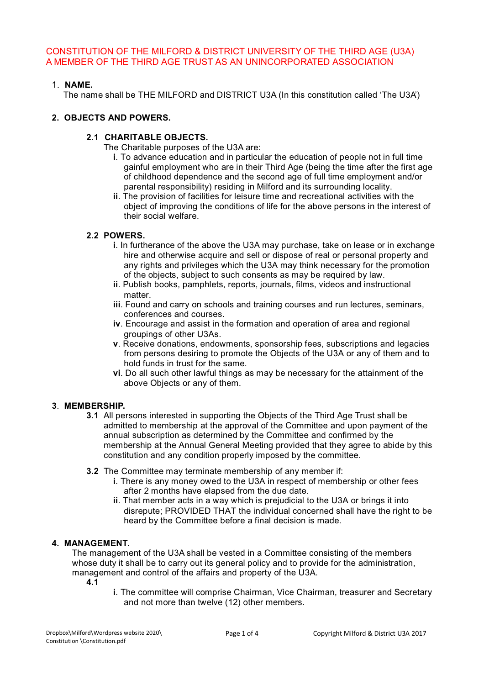CONSTITUTION OF THE MILFORD & DISTRICT UNIVERSITY OF THE THIRD AGE (U3A) A MEMBER OF THE THIRD AGE TRUST AS AN UNINCORPORATED ASSOCIATION

# 1. **NAME.**

The name shall be THE MILFORD and DISTRICT U3A (In this constitution called 'The U3A')

### **2. OBJECTS AND POWERS.**

### **2.1 CHARITABLE OBJECTS.**

The Charitable purposes of the U3A are:

- **i**. To advance education and in particular the education of people not in full time gainful employment who are in their Third Age (being the time after the first age of childhood dependence and the second age of full time employment and/or parental responsibility) residing in Milford and its surrounding locality.
- **ii**. The provision of facilities for leisure time and recreational activities with the object of improving the conditions of life for the above persons in the interest of their social welfare.

# **2.2 POWERS.**

- **i**. In furtherance of the above the U3A may purchase, take on lease or in exchange hire and otherwise acquire and sell or dispose of real or personal property and any rights and privileges which the U3A may think necessary for the promotion of the objects, subject to such consents as may be required by law.
- **ii**. Publish books, pamphlets, reports, journals, films, videos and instructional matter.
- **iii**. Found and carry on schools and training courses and run lectures, seminars, conferences and courses.
- **iv**. Encourage and assist in the formation and operation of area and regional groupings of other U3As.
- **v**. Receive donations, endowments, sponsorship fees, subscriptions and legacies from persons desiring to promote the Objects of the U3A or any of them and to hold funds in trust for the same.
- **vi**. Do all such other lawful things as may be necessary for the attainment of the above Objects or any of them.

### **3**. **MEMBERSHIP.**

- **3.1** All persons interested in supporting the Objects of the Third Age Trust shall be admitted to membership at the approval of the Committee and upon payment of the annual subscription as determined by the Committee and confirmed by the membership at the Annual General Meeting provided that they agree to abide by this constitution and any condition properly imposed by the committee.
- **3.2** The Committee may terminate membership of any member if:
	- **i**. There is any money owed to the U3A in respect of membership or other fees after 2 months have elapsed from the due date.
	- **ii**. That member acts in a way which is prejudicial to the U3A or brings it into disrepute; PROVIDED THAT the individual concerned shall have the right to be heard by the Committee before a final decision is made.

# **4. MANAGEMENT.**

The management of the U3A shall be vested in a Committee consisting of the members whose duty it shall be to carry out its general policy and to provide for the administration, management and control of the affairs and property of the U3A.

- **4.1**
- **i**. The committee will comprise Chairman, Vice Chairman, treasurer and Secretary and not more than twelve (12) other members.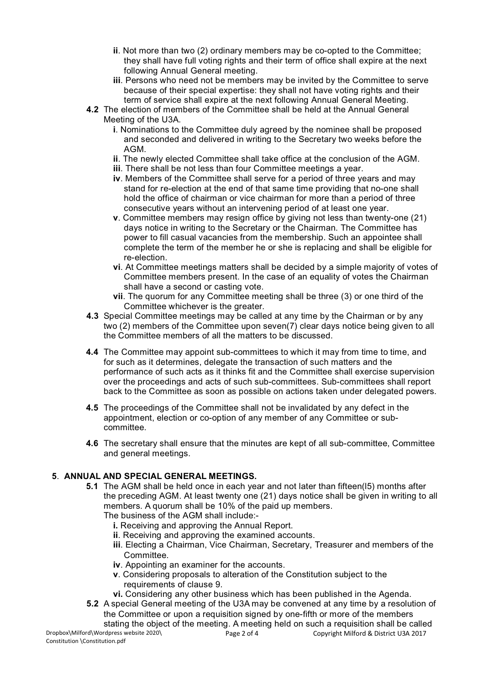- **ii**. Not more than two (2) ordinary members may be co-opted to the Committee; they shall have full voting rights and their term of office shall expire at the next following Annual General meeting.
- **iii**. Persons who need not be members may be invited by the Committee to serve because of their special expertise: they shall not have voting rights and their term of service shall expire at the next following Annual General Meeting.
- **4.2** The election of members of the Committee shall be held at the Annual General Meeting of the U3A.
	- **i**. Nominations to the Committee duly agreed by the nominee shall be proposed and seconded and delivered in writing to the Secretary two weeks before the AGM.
	- **ii**. The newly elected Committee shall take office at the conclusion of the AGM.
	- **iii**. There shall be not less than four Committee meetings a year.
	- **iv**. Members of the Committee shall serve for a period of three years and may stand for re-election at the end of that same time providing that no-one shall hold the office of chairman or vice chairman for more than a period of three consecutive years without an intervening period of at least one year.
	- **v**. Committee members may resign office by giving not less than twenty-one (21) days notice in writing to the Secretary or the Chairman. The Committee has power to fill casual vacancies from the membership. Such an appointee shall complete the term of the member he or she is replacing and shall be eligible for re-election.
	- **vi**. At Committee meetings matters shall be decided by a simple majority of votes of Committee members present. In the case of an equality of votes the Chairman shall have a second or casting vote.
	- **vii**. The quorum for any Committee meeting shall be three (3) or one third of the Committee whichever is the greater.
- **4.3** Special Committee meetings may be called at any time by the Chairman or by any two (2) members of the Committee upon seven(7) clear days notice being given to all the Committee members of all the matters to be discussed.
- **4.4** The Committee may appoint sub-committees to which it may from time to time, and for such as it determines, delegate the transaction of such matters and the performance of such acts as it thinks fit and the Committee shall exercise supervision over the proceedings and acts of such sub-committees. Sub-committees shall report back to the Committee as soon as possible on actions taken under delegated powers.
- **4.5** The proceedings of the Committee shall not be invalidated by any defect in the appointment, election or co-option of any member of any Committee or subcommittee.
- **4.6** The secretary shall ensure that the minutes are kept of all sub-committee, Committee and general meetings.

### **5**. **ANNUAL AND SPECIAL GENERAL MEETINGS.**

**5.1** The AGM shall be held once in each year and not later than fifteen(15) months after the preceding AGM. At least twenty one (21) days notice shall be given in writing to all members. A quorum shall be 10% of the paid up members.

The business of the AGM shall include:-

- **i.** Receiving and approving the Annual Report.
- **ii**. Receiving and approving the examined accounts.
- **iii**. Electing a Chairman, Vice Chairman, Secretary, Treasurer and members of the Committee.
- **iv**. Appointing an examiner for the accounts.
- **v**. Considering proposals to alteration of the Constitution subject to the requirements of clause 9.
- **vi.** Considering any other business which has been published in the Agenda.
- **5.2** A special General meeting of the U3A may be convened at any time by a resolution of the Committee or upon a requisition signed by one-fifth or more of the members stating the object of the meeting. A meeting held on such a requisition shall be called

Dropbox\Milford\Wordpress website 2020\ Constitution \Constitution.pdf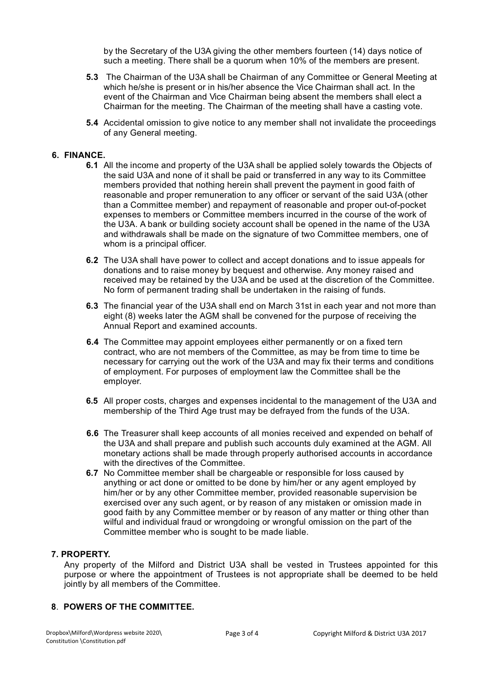by the Secretary of the U3A giving the other members fourteen (14) days notice of such a meeting. There shall be a quorum when 10% of the members are present.

- **5.3** The Chairman of the U3A shall be Chairman of any Committee or General Meeting at which he/she is present or in his/her absence the Vice Chairman shall act. In the event of the Chairman and Vice Chairman being absent the members shall elect a Chairman for the meeting. The Chairman of the meeting shall have a casting vote.
- **5.4** Accidental omission to give notice to any member shall not invalidate the proceedings of any General meeting.

#### **6. FINANCE.**

- **6.1** All the income and property of the U3A shall be applied solely towards the Objects of the said U3A and none of it shall be paid or transferred in any way to its Committee members provided that nothing herein shall prevent the payment in good faith of reasonable and proper remuneration to any officer or servant of the said U3A (other than a Committee member) and repayment of reasonable and proper out-of-pocket expenses to members or Committee members incurred in the course of the work of the U3A. A bank or building society account shall be opened in the name of the U3A and withdrawals shall be made on the signature of two Committee members, one of whom is a principal officer.
- **6.2** The U3A shall have power to collect and accept donations and to issue appeals for donations and to raise money by bequest and otherwise. Any money raised and received may be retained by the U3A and be used at the discretion of the Committee. No form of permanent trading shall be undertaken in the raising of funds.
- **6.3** The financial year of the U3A shall end on March 31st in each year and not more than eight (8) weeks later the AGM shall be convened for the purpose of receiving the Annual Report and examined accounts.
- **6.4** The Committee may appoint employees either permanently or on a fixed tern contract, who are not members of the Committee, as may be from time to time be necessary for carrying out the work of the U3A and may fix their terms and conditions of employment. For purposes of employment law the Committee shall be the employer.
- **6.5** All proper costs, charges and expenses incidental to the management of the U3A and membership of the Third Age trust may be defrayed from the funds of the U3A.
- **6.6** The Treasurer shall keep accounts of all monies received and expended on behalf of the U3A and shall prepare and publish such accounts duly examined at the AGM. All monetary actions shall be made through properly authorised accounts in accordance with the directives of the Committee.
- **6.7** No Committee member shall be chargeable or responsible for loss caused by anything or act done or omitted to be done by him/her or any agent employed by him/her or by any other Committee member, provided reasonable supervision be exercised over any such agent, or by reason of any mistaken or omission made in good faith by any Committee member or by reason of any matter or thing other than wilful and individual fraud or wrongdoing or wrongful omission on the part of the Committee member who is sought to be made liable.

#### **7. PROPERTY.**

Any property of the Milford and District U3A shall be vested in Trustees appointed for this purpose or where the appointment of Trustees is not appropriate shall be deemed to be held jointly by all members of the Committee.

#### **8**. **POWERS OF THE COMMITTEE.**